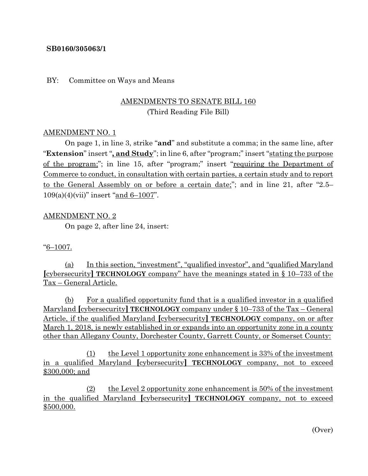### **SB0160/305063/1**

#### BY: Committee on Ways and Means

# AMENDMENTS TO SENATE BILL 160 (Third Reading File Bill)

### AMENDMENT NO. 1

On page 1, in line 3, strike "**and**" and substitute a comma; in the same line, after "**Extension**" insert "**, and Study**"; in line 6, after "program;" insert "stating the purpose of the program;"; in line 15, after "program;" insert "requiring the Department of Commerce to conduct, in consultation with certain parties, a certain study and to report to the General Assembly on or before a certain date;"; and in line 21, after "2.5– 109(a)(4)(vii)" insert "and 6–1007".

### AMENDMENT NO. 2

On page 2, after line 24, insert:

# $-6 - 1007.$

(a) In this section, "investment", "qualified investor", and "qualified Maryland **[**cybersecurity**] TECHNOLOGY** company" have the meanings stated in § 10–733 of the Tax – General Article.

(b) For a qualified opportunity fund that is a qualified investor in a qualified Maryland **[**cybersecurity**] TECHNOLOGY** company under § 10–733 of the Tax – General Article, if the qualified Maryland **[**cybersecurity**] TECHNOLOGY** company, on or after March 1, 2018, is newly established in or expands into an opportunity zone in a county other than Allegany County, Dorchester County, Garrett County, or Somerset County:

(1) the Level 1 opportunity zone enhancement is 33% of the investment in a qualified Maryland **[**cybersecurity**] TECHNOLOGY** company, not to exceed \$300,000; and

(2) the Level 2 opportunity zone enhancement is 50% of the investment in the qualified Maryland **[**cybersecurity**] TECHNOLOGY** company, not to exceed \$500,000.

(Over)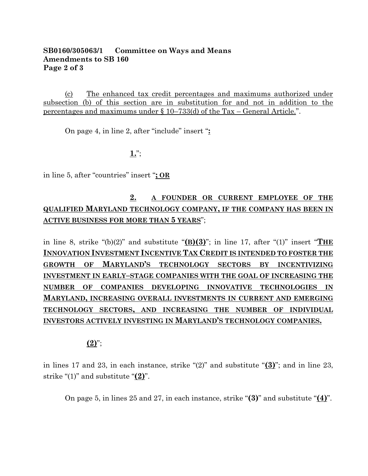# **SB0160/305063/1 Committee on Ways and Means Amendments to SB 160 Page 2 of 3**

(c) The enhanced tax credit percentages and maximums authorized under subsection (b) of this section are in substitution for and not in addition to the percentages and maximums under  $\S 10-733$  (d) of the Tax – General Article.".

On page 4, in line 2, after "include" insert "**:**

**1.**";

in line 5, after "countries" insert "**; OR**

# **2. A FOUNDER OR CURRENT EMPLOYEE OF THE QUALIFIED MARYLAND TECHNOLOGY COMPANY, IF THE COMPANY HAS BEEN IN ACTIVE BUSINESS FOR MORE THAN 5 YEARS**";

in line 8, strike "(b)(2)" and substitute "**(B)(3)**"; in line 17, after "(1)" insert "**THE INNOVATION INVESTMENT INCENTIVE TAX CREDIT IS INTENDED TO FOSTER THE GROWTH OF MARYLAND'S TECHNOLOGY SECTORS BY INCENTIVIZING INVESTMENT IN EARLY–STAGE COMPANIES WITH THE GOAL OF INCREASING THE NUMBER OF COMPANIES DEVELOPING INNOVATIVE TECHNOLOGIES IN MARYLAND, INCREASING OVERALL INVESTMENTS IN CURRENT AND EMERGING TECHNOLOGY SECTORS, AND INCREASING THE NUMBER OF INDIVIDUAL INVESTORS ACTIVELY INVESTING IN MARYLAND'S TECHNOLOGY COMPANIES.**

# **(2)**";

in lines 17 and 23, in each instance, strike "(2)" and substitute "**(3)**"; and in line 23, strike "(1)" and substitute "**(2)**".

On page 5, in lines 25 and 27, in each instance, strike "**(3)**" and substitute "**(4)**".